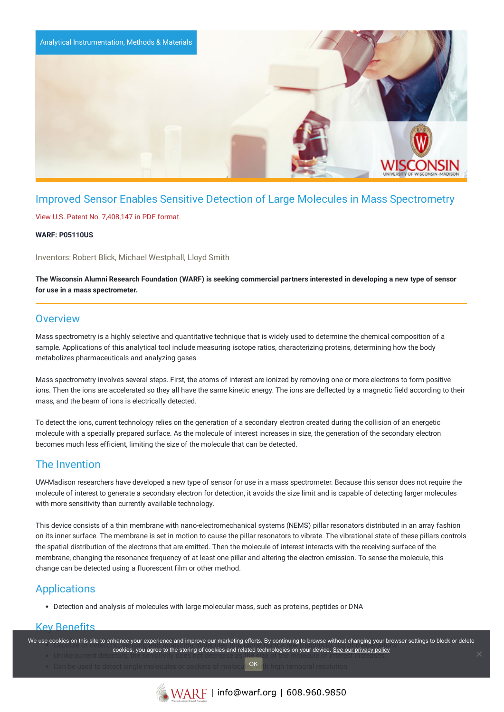

# Improved Sensor Enables Sensitive Detection of Large Molecules in Mass Spectrometry

### View U.S. Patent No. [7,408,147](https://www.warf.org/wp-content/uploads/technologies/ipstatus/P05110US.PDF) in PDF format.

### **WARF: P05110US**

Inventors: Robert Blick, Michael Westphall, Lloyd Smith

The Wisconsin Alumni Research Foundation (WARF) is seeking commercial partners interested in developing a new type of sensor **for use in a mass spectrometer.**

## **Overview**

Mass spectrometry is a highly selective and quantitative technique that is widely used to determine the chemical composition of a sample. Applications of this analytical tool include measuring isotope ratios, characterizing proteins, determining how the body metabolizes pharmaceuticals and analyzing gases.

Mass spectrometry involves several steps. First, the atoms of interest are ionized by removing one or more electrons to form positive ions. Then the ions are accelerated so they all have the same kinetic energy. The ions are deflected by a magnetic field according to their mass, and the beam of ions is electrically detected.

To detect the ions, current technology relies on the generation of a secondary electron created during the collision of an energetic molecule with a specially prepared surface. As the molecule of interest increases in size, the generation of the secondary electron becomes much less efficient, limiting the size of the molecule that can be detected.

## The Invention

UW-Madison researchers have developed a new type of sensor for use in a mass spectrometer. Because this sensor does not require the molecule of interest to generate a secondary electron for detection, it avoids the size limit and is capable of detecting larger molecules with more sensitivity than currently available technology.

This device consists of a thin membrane with nano-electromechanical systems (NEMS) pillar resonators distributed in an array fashion on its inner surface. The membrane is set in motion to cause the pillar resonators to vibrate. The vibrational state of these pillars controls the spatial distribution of the electrons that are emitted. Then the molecule of interest interacts with the receiving surface of the membrane, changing the resonance frequency of at least one pillar and altering the electron emission. To sense the molecule, this change can be detected using a fluorescent film or other method.

# **Applications**

Detection and analysis of molecules with large molecular mass, such as proteins, peptides or DNA

### Key Benefits

We use cookies on this site to enhance your experience and improve our marketing efforts. By continuing to browse without changing your browser settings to block or delete cookies, you agree to the storing of cookies and related technologies on your device. [See our privacy policy](https://www.warf.org/privacy-policy/) contents in the storing of cookies and related technologies on your device. See our privacy policy

OK

Can be used to detect single molecules or packets of molecule UK in high temporal resolution